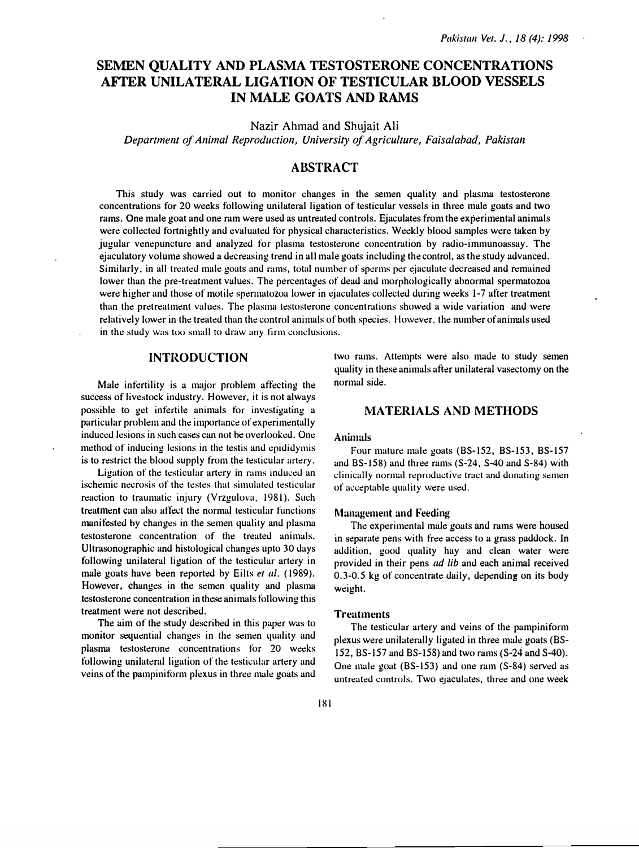# SEMEN QUALITY AND PLASMA TESTOSTERONE CONCENTRATIONS AFTER UNILATERAL LIGATION OF TESTICULAR BLOOD VESSELS IN MALE GOATS AND RAMS

Nazir Ahmad and Shujait Ali

Department of Animal Reproduction, University of Agriculture, Faisalabad, Pakistan

## ABSTRACT

This study was carried out to monitor changes in the semen quality and plasma testosterone concentrations for 20 weeks following unilateral ligation of testicular vessels in three male goats and two rams. One male goat and one ram were used as untreated controls. Ejaculates from the experimental animals were collected fortnightly and evaluated for physical characteristics. Weekly blood samples were taken by jugular venepuncture and analyzed for plasma testosterone concentration by radio-immunoassay. The ejaculatory volume showed a decreasing trend in all male goats including the control, as the study advanced. Similarly, in all treated male goats and rams, total number of sperms per ejaculate decreased and remained lower than the pre-treatment values. The percentages of dead and morphologically abnormal spermatozoa were higher and those of motile spermatozoa lower in ejaculates collected during weeks 1-7 after treatment than the pretreatment values. The plasma testosterone concentrations showed a wide variation and were rel�atively lower in the treated than the control animals of both species. However, the number of animals used in the study was too small to draw any firm conclusions.

## INTRODUCTION

Male infertility is a major problem affecting the success of livestock industry. However, it is not always possible to get infertile animals for investigating a particular problem and the importance of experimentally induced lesions in such cases can not be overlooked. One method of inducing lesions in the testis and epididymis is to restrict the blood supply from the testicular artery.

Ligation of the testicular artery in rams induced an ischemic necrosis of the testes that simulated testicular reaction to traumatic injury (Vrzgulova, 1981). Such treatment can also affect the normal testicular functions numitested by changes in the semen quality and plasma testosterone concentration of the treated animals. Ultrasonographic and histological changes upto 30 days following unilateral ligation of the testicular artery in male goats have been reported by Eilts et al. (1989). However, changes in the semen quality and plasma testosterone concentration in these animals following this treatment were not described.

The aim of the study described in this paper was to monitor sequential changes in the semen quality and plasma testosterone concentrations for 20 weeks following unilateral ligation of the testicular artery and veins of the pampiniform plexus in three male goats and two rams. Attempts were also made to study semen quality in these animals after unilateral vasectomy on the normal side.

## MATERIALS AND METHODS

#### Animals

Four mature male goats (BS-152, BS-153, BS-157 and BS-158) and three rams (S-24, S-40 and S-84) with clinically normal reproductive tract and donating semen of �acceptable quality were used.

#### Management and Feeding

The experimental male goats and rams were housed in separate pens with free access to a grass paddock. In addition, good quality hay and clean water were provided in their pens ad lib and each animal received 0.3-0.5 kg of concentrate daily, depending on its body weight.

#### **Treatments**

The testicular artery and veins of the pampiniform plexus were unihaterally ligated in three male goats (BS-152, BS-157 and BS-158) and two rams (S-24 and S-40). One male goat (BS-153) and one ram  $(S-84)$  served as untreated controls. Two ejaculates, three and one week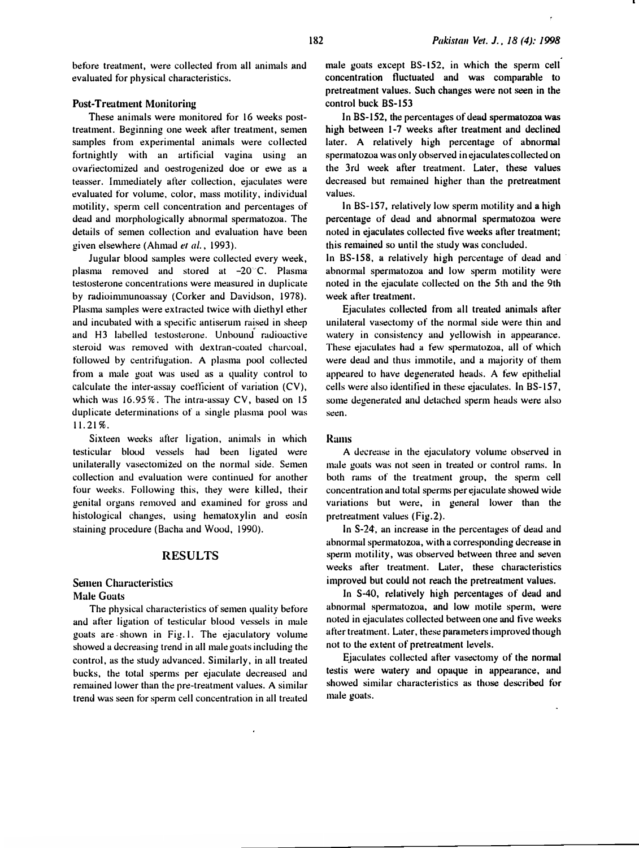before treatment, were collected from all animals and evaluated for physical characteristics.

### Post-Treatment Monitoring

These animals were monitored for 16 weeks posttreatment. Beginning one week after treatment, semen samples from experimental animals were collected fortnightly with an artificial vagina using an ovariectomized and oestrogenized doe or ewe as a teasser. Inunediately after collection, ejaculates were evaluated for volume, color, mass motility, individual motility. sperm cell concentration and percentages of dead and morphologically abnormal spermatozoa. The details of semen collection and evaluation have been given elsewhere (Ahmad et al., 1993).

Jugular blood samples were collected every week, plasma removed and stored at  $-20^{\circ}$ C. Plasma testosterone concentrations were measured in duplicate by radioinununoassay (Corker and Davidson, 1978). Plasma samples were extracted twice with diethyl ether and incubated with a specific antiserum raised in sheep and H3 labelled testosterone. Unbound rauioactive steroid was removed with dextran-coated charcoal. followed by centrifugation. A plasma pool collected from a male goat was used as a quality control to calculate the inter-assay coefticient of vuriation (CV), which was 16.95%. The intra-assay CV, based on 15 duplicate determinations of a single plasma pool was 11.21%.

Sixteen weeks after ligation, animals in which testicular blood vessels had been ligated were unilaterally vasectomized on the normal side. Semen collection and evaluation were continued for another four weeks. Following this, they were killed, their genital organs removed and examined for gross and histological changes, using hematoxylin and eosin staining procedure (Bacha and Wood, 1990).

## RESULTS

## Semen Characteristics **Male Goats**

The physical characteristics of semen quality before and after ligation of testicular blood vessels in male goats are shown in Fig.l. The ejaculatory volume showed a decreasing trend in all male goats including the control, as the study advanced. Similarly, in all treated bucks, the total sperms per ejaculate decreased and remained lower than the pre-treatment values. A similar trend was seen for sperm cell concentration in all treated

male goats except BS-152, in which the sperm cell concentration fluctuated and was comparable to pretreatment values. Such changes were not seen in the control buck BS-153

In BS-152, the percentages of dead spermatozoa was high between 1-7 weeks after treatment and declined later. A relatively high percentage of abnormal spermatozoa was only observed in ejaculates collected on the 3rd week after treatment. Later, these values decreased but remained higher than the pretreatment values.

In BS-157, relatively low sperm motility and a high percentage of dead and abnormal spermatozoa were noted in ejaculates collected five weeks after treatment; this remained so until the study was concludeu.

In BS-158, a relatively high percentage of dead and abnormal spermatozoa and low sperm motility were noted in the ejaculate collected on the 5th and the 9th week after treatment.

Ejaculates collected from all treated animals after unilateral vasectomy of the normal side were thin and watery in consistency and yellowish in appearance. These ejaculates had a few spermatozoa, all of which were dead and thus immotile, and a majority of them appeared to have degenerated heads. A few epithelial cells were also identified in these ejaculates. In BS-157, some degenerated and detached sperm heads were also seen.

#### Rams

A decrease in the ejaculatory volume observed in male goats was not seen in treated or control rams. In both rams of the treatment group, the sperm cell concentration and total sperms per ejaculate showed wide variations but were, in general lower than the pretreatment values (Fig.2).

In S-24, an increase in the percentages of dead and abnormal spermatozoa, with a corresponding decrease in sperm motility, was observed between three and seven weeks after treutment. Later, these characteristic<sup>s</sup> improved but could not reach the pretreatment values.

In S-40, relatively high percentages of dead and abnormal spermatozoa, and lo<sup>w</sup>motile sperm, were noted in ejaculates collected between one and tive weeks after treatment. Later, these parameters improved though not to the extent of pretreatment levels.

Ejaculates collected after vasectomy of the normal testis were watery and opaque in appearance, and showed similar characteristics as those described for male goats.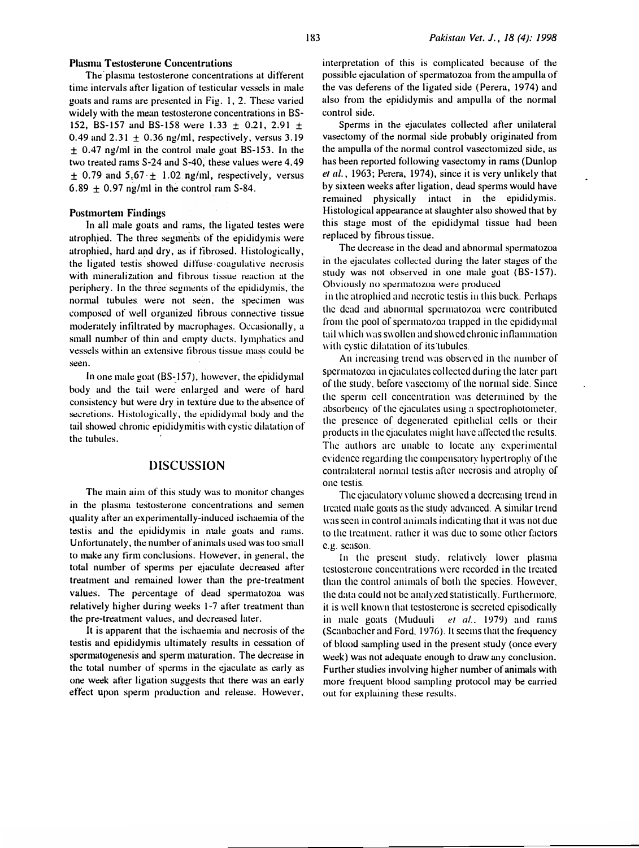## Plasma Testosterone Concentrations

The plasma testosterone concentrations at different time intervals after ligation of testicular vessels in male goats and rams are presented in Fig. I, 2. These varied widely with the mean testosterone concentrations in BS-152, BS-157 and BS-158 were 1.33  $\pm$  0.21, 2.91  $\pm$ 0.49 and  $2.31 \pm 0.36$  ng/ml, respectively, versus 3.19  $\pm$  0.47 ng/ml in the control male goat BS-153. In the two treated rams  $S-24$  and  $S-40$ , these values were 4.49  $\pm$  0.79 and 5.67  $\pm$  1.02 ng/ml, respectively, versus 6.89  $\pm$  0.97 ng/ml in the control ram S-84.

#### Postmortem Findings

In all male goats and rams, the ligated testes were atrophied. The three segments of the epididymis were atrophied, hard and dry, as if fibrosed. Histologically, the ligated testis showed diffuse coagulative necrosis with mineralization and fibrous tissue reaction at the periphery. In the three segments of the epididymis, the normal tubules were not seen, the specimen was composed of well organized fibrous connective tissue moderately infiltrated by macrophages. Occasionally, a small number of thin and empty ducts, lymphatics and vessels within an extensive fibrous tissue mass could be seen.

In one male goat (BS-157), however, the epididymal body and the tail were enlarged and were of hard consistency but were dry in texture due to the absence of secretions. Histologically, the epididymal body and the tail showed chronic epididymitis with cystic dilatation of the tubules.

## DISCUSSION

The main aim of this study was to monitor changes in the plasma testosterone concentrations and semen quality after an experimentally-induced ischaemia of the testis and the epididymis in nude goats and rams. Unfortunately, the number of animals used was too small to muke any tirm conclusions. However, in general, the total number of sperms per ejaculate decreased after treatment and remained lower than the pre-treatment values. The percentage of dead spermatozoa was relatively higher during weeks 1-7 after treatment than<sup>1</sup> the pre-treatment values, and decreased later.

It is apparent that the ischaemia and necrosis of the testis and epididymis ulti<sup>m</sup>ately results in cessation of spermatogenesis and sperm maturation. The decrease in the total number of sperms in the �jaculate as early as one week after ligation suggests that there was an early effect upon sperm production and release. However,

interpretation of this is complicated because of the possible ejaculation of spermatozoa from the ampulla of the vas deferens of the ligated side (Perera, 1974) and also from the epididymis and ampulla of the normal control side.

Sperms in the ejaculates collected after unilateral vasectomy of the normal side probably originated from the ampulla of the normal control vasectomized side, as has been reported following vasectomy in rams (Dunlop et  $al.$ , 1963; Perera, 1974), since it is very unlikely that by sixteen weeks after ligation, dead sperms would have remained physically intact in the epididymis. Histological appearance at slaughter also showed that by this stage most of the epididymal tissue had been replaced by fibrous tissue.

The decrease in the dead and abnormal spermatozoa in the ejaculates collected during the later stages of the study was not observed in one male goat (BS-157). Obviously no spermatozoa were produced

in the atrophied and necrotic testis iu this buck. Perhaps the dead and abnormal spermatozoa were contributed from the pool of spermatozoa trapped in the epididymal tail which was swollen and showed chronic inflammation with cystic dilatation of its tubules.

An increasing trend was observed in the number of spermatozoa in ejaculates collected during the later part of the study. before \'asectomy of the normal side. Since the sperm cell concentration was determined by the absorbency of the ejaculates using a spectrophotometer. the presence of degenerated epithelial cells or their products in the ejaculates might have a1Tected the results. The authors arc unable to locate any experimental evidence regarding the compensatory hypertrophy of the contralateral normal testis after necrosis and atrophy of one testis.

The ejaculatory volume showed a decreasing trend in treated mak goats as the study advanced. A similar trend was seen in control animals indicating that it was not due to the treatment. rather it was due to some other factors e.g. season.

In the present study. relatively lower plasma testosterone concentrations were recorded in the treated than the control animals of both the species. However. the data could not be analyzed statistically. Furthermore. it is well known that testosterone is secreted episodically in male goats (Muduuli et al., 1979) and rams (Scanbacher and Ford. 1976). It seems that the frequency of blood sampling used in the present study (once every week) was not adequate enough to draw any conclusion. Further studies involving higher number of animals with more frequent blood sampling protocol may be carried out for expluining these results.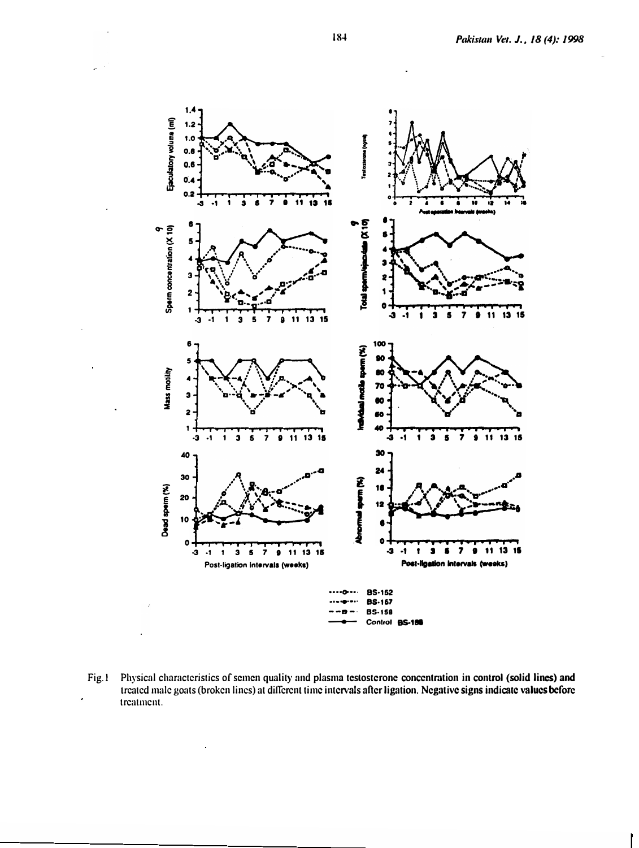

 $Fig.1$ Physical characteristics of semen quality and plasma testosterone concentration in control (solid lines) and treated male goats (broken lines) at different time intervals after ligation. Negative signs indicate values before treatment.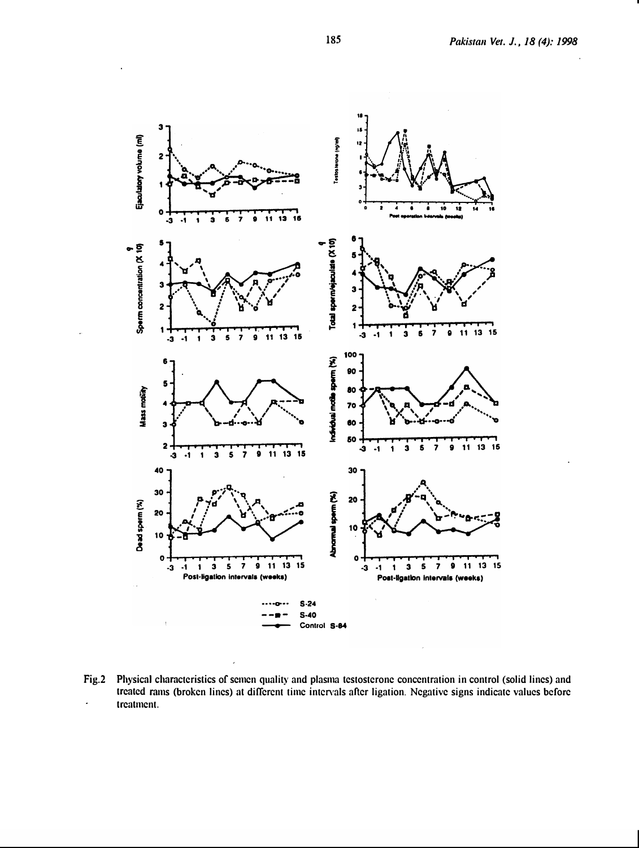

Fig.2 Physical characteristics of semen quality and plasma testosterone concentration in control (solid lines) and treated rams (broken lines) at different time intervals after ligation. Negative signs indicate values before treatment.